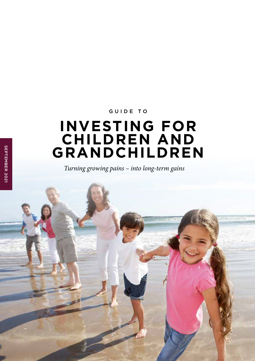## GUIDE TO

# **INVESTING FOR CHILDREN AND GRANDCHILDREN**

*Turning growing pains – into long-term gains*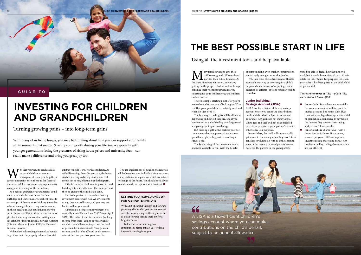We hether you want to teach a child<br>or grandchild smart money-<br>management strategies, help them<br>pay for university or set them up for financial or grandchild smart moneymanagement strategies, help them success as adults – it's important to jump-start saving and investing for them early on.

As a parent, guardian or grandparent, you'll want to provide the best future for them. Birthdays and Christmas are excellent times to encourage children to start thinking about the value of money. Children may receive money on these occasions. But could that money be put to better use? Rather than buying yet more gifts for them, why not consider setting up a tax-efficient Junior Individual Savings Account (JISA) for them, or Junior SIPP (Self-Invested Personal Pension)?

With today's kids needing thousands of pounds to get them on to the property ladder, a financial

The tax implications of pension withdrawals will be based on your individual circumstances, tax legislation and regulation which are subject to change in the future. You should seek advice to understand your options at retirement.  $\blacksquare$ 

gift that will help is well worth considering. As with all investing, the earlier you start, the better. And even saving a relatively modest sum each month can be very effective over the long term.

If the investment is allowed to grow, it could build up into a sizeable sum. The money could then be given to the child as an adult.

With many of us living longer, you may be thinking about how you can support your family at the moments that matter. Sharing your wealth during your lifetime – especially with younger generations facing the pressures of rising house prices and university fees – can really make a difference and bring you great joy too.

> It's also important to remember that any investment comes with risk. All investments can go down as well as up, and you may get back less than you invest.

**M** any families want to give their<br>the costs of private education, university, children or grandchildren a head start for their future finances. As getting on the property ladder and weddings continue their relentless upward march, investing for your children or grandchildren early is crucial.

A pension is a long-term investment not normally accessible until age 55 (57 from April 2028). The value of your investments (and any income from them) can go down as well as up which would have an impact on the level of pension benefits available. Your pension income could also be affected by the interest rates at the time you take your benefits.



# **INVESTING FOR CHILDREN AND GRANDCHILDREN**

# **THE BEST POSSIBLE START IN LIFE**

Turning growing pains – into long-term gains

## Using all the investment tools and help available

#### **SETTING YOUR LOVED ONES UP FOR A BRIGHTER FUTURE**

With a bit of careful thought and forward planning, there's a lot you can do to make sure the money you give them goes as far as it can towards setting them up for a brighter future.

- **Junior Cash ISAs** these are essentially the same as a bank or building society savings account. But Junior Cash ISAs come with one big advantage – your child or grandchild doesn't have to pay tax on the interest they earn on their savings, and you don't have to either
- **I** Junior Stocks & Shares ISAs with a Junior Stocks & Shares ISA account, you can put your child's savings into investments like shares and bonds. Any profits earned by trading shares or bonds are tax-efficient.

To find out more or arrange an appointment, please contact us – we look forward to hearing from you.

There's a simple starting point after you've worked out what you can afford to give. What is it that your grandchildren actually need and when do they need it?

The best way to make gifts will be different depending on how old they are, and if you have concerns about handing over large sums at a young and impressionable age.

But making a gift at the earliest possible time means that any potential investment growth can play a big part in meeting a future cost.

The key is using all the investment tools and help available to you. With the benefit of compounding, even smaller contributions started early enough can work miracles. Whether you'd like a structured or flexible approach to saving or investing for a child's or grandchild's future, we've put together a selection of different options you may wish to

consider:

#### **Junior Individual Savings Account (JISA)**

A JISA is a tax-efficient children's savings account where you can make contributions on the child's behalf, subject to an annual allowance. Any gains do not incur Capital Gains Tax, and they will not be considered part of the parents' or grandparents' estate for Inheritance Tax purposes.

Nevertheless, the child will automatically get access to the money when they turn 18 and can choose what to do with it. If the account stays in the parents' or grandparents' names, however, the parents or the grandparents

would be able to decide how the money is used, but it would be considered part of their estate for Inheritance Tax purposes for seven years after it has been gifted to the adult child or grandchild.

**There are two types of JISA – a Cash JISA and a Stocks & Shares JISA:**

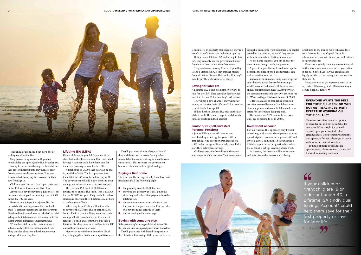#### 04 GUIDE TO **INVESTING FOR CHILDREN AND GRANDCHILDREN** GUIDE TO **INVESTING FOR CHILDREN AND GRANDCHILDREN** 05



Your child or grandchild can have one or both types of Junior ISA.

Only parents or a guardian with parental responsibility can open a Junior ISA for under-16s.

Money in the account belongs to the child, but they can't withdraw it until they turn 18, apart from in exceptional circumstances. They can, however, start managing their account on their own from age 16.

Children aged 16 and 17 can open their own Junior ISA as well as an adult Cash ISA.

Anyone can pay money into a Junior ISA, but the total amount paid in cannot go over £9,000 in the 2021/22 tax year.

A total of up to £4,000 each year can be put in, until they're 50. The first payment into their Lifetime ISA must be before they're 40. The government will add a 25% bonus to their savings, up to a maximum of  $£1,000$  per year.

If more than this is put into a Junior ISA, the excess is held in a savings account in trust for the child – it cannot be returned to the donor. Parents, friends and family can all save on behalf of the child as long as the total stays under the annual limit. No tax is payable on interest or investment gains.

The Lifetime ISA limit of £4,000 counts towards their annual ISA limit. This is £20,000 for the 2021/22 tax year. They can hold cash or stocks and shares in their Lifetime ISA, or have a combination of both.

When the child turns 18, their account is automatically rolled over into an adult ISA. They can also choose to take the money out and spend it how they like.

### **Lifetime ISA (LISA)**

If your children or grandchildren are 18 or older but under 40, a Lifetime ISA (Individual Savings Account) could help them save for their first property or save for later life.

When they turn 50, they will not be able to pay into the Lifetime ISA or earn the 25% bonus. Their account will stay open and their savings will still earn interest or investment returns. To open and continue to pay into a Lifetime ISA they must be a resident in the UK, unless they're a crown servant.

Money can be withdrawn from their ISA if they're buying their first home or aged 60 or over.

They'll pay a withdrawal charge of 25% if they withdraw cash or assets for any other reason (also known as making an unauthorised withdrawal). This recovers the government bonus received on their original savings.

#### **Buying a first home**

They can use the savings to help them buy their first home if all the following apply:

- $\blacksquare$  the property costs £450,000 or less
- $\blacksquare$  they buy the property at least 12 months after they make their first payment into the Lifetime ISA
- $\blacksquare$  they use a conveyancer or solicitor to act for them in the purchase - the ISA provider will pay the funds directly to them
- $\blacksquare$  they're buying with a mortgage

### **Buying with someone else**

If the person they're buying with has a Lifetime ISA, they can use their savings and government bonus too.

They'll pay a 25% withdrawal charge to use their Lifetime ISA savings if they own or have a

Many parents and grandparents want to set up their children or grandchildren to enjoy a secure financial future.  $\blacksquare$ 

If your children or grandchild are 18 or older but under 40, a Lifetime ISA (Individual Savings Account) could help them save for their first property or save for later life.

legal interest in property (for example, they're a beneficiary of a trust that includes property).

If they have a Lifetime ISA and a Help to Buy ISA, they can only use the government bonus from one of them to buy their first home.

They can transfer money from a Help to Buy ISA to a Lifetime ISA. If they transfer money from a Lifetime ISA to a Help to Buy ISA they'll have to pay the 25% withdrawal charge.

#### **Saving for later life**

A Lifetime ISA is one of a number of ways to save for later life. They can take their savings out of a Lifetime ISA when they're 60 or over.

They'll pay a 25% charge if they withdraw money or transfer their Lifetime ISA to another type of ISA before age 60.

If they die their Lifetime ISA ends on the date of their death. There's no charge to withdraw the funds or assets from their account.

#### **Junior SIPP (Self-Invested Personal Pension)**

A Junior SIPP is a tax-efficient way to start building a nest egg for your child or grandchild. Any parent or grandparent of a child under the age of 18 can help them kickstart their retirement savings.

Children's pensions benefit from the same advantages as adult pensions. That means no tax is payable on income from investments or capital growth in the pension, provided they remain within the annual and lifetime allowances. As the name suggests, you can choose the investments that go inside the pension. A parent or guardian will need to set up the pension, but once opened, grandparents can make contributions into it.

You can invest an annual lump sum, or spread contributions across the year by investing a smaller amount each month. If the maximum annual contribution is made (£2,880 per year), the taxman automatically pays 20% tax relief (up to £720), making a total contribution of £3,600. Gifts to a child's or grandchild's pension are often covered by one of the Inheritance Tax exemptions and so could fall outside your estate for Inheritance Tax purposes. The money in a SIPP cannot be accessed

until age 55 (rising to 57 in 2028).

### **Investment account**

For tax reasons, this approach may be best suited to grandparents. Grandparents can set up a designated account for a grandchild and invest a capital sum in it. The grandchild's initials are put in the designation box when the account is set up, creating a bare trust. and gains from the investment as being



As a result, the taxman will view income

attributed to the minor, who will have their own Income Tax and Capital Gains Tax allowance, so there will be no tax implications for grandparents.

If you are a grandparent any money invested in this way leaves your estate seven years after it has been gifted. At 18, your grandchild is legally entitled to the money, and can use it as they see fit.

#### **EVERYONE WANTS THE BEST FOR THEIR CHILDREN. SO WHY NOT GET REAL INVESTMENT EXPERTISE WORKING ON THEIR BEHALF?**

These are just a few potential options to consider but will not be suitable for everyone. What is right for you will depend upon your own individual circumstances. If you're unsure about the best approach for you, please get in touch with us for further information.

To find out more or arrange an appointment, please contact us – we look forward to hearing from you.